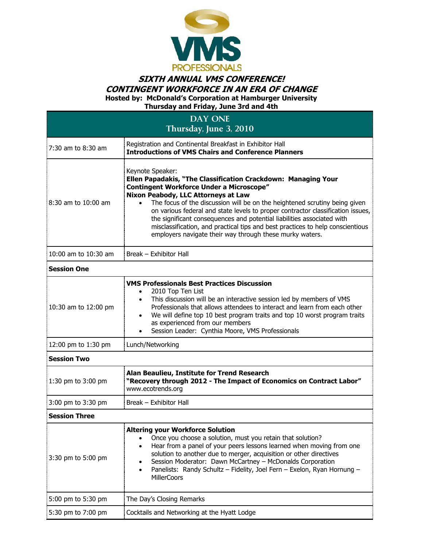

## **SIXTH ANNUAL VMS CONFERENCE! CONTINGENT WORKFORCE IN AN ERA OF CHANGE**

**Hosted by: McDonald's Corporation at Hamburger University**

| Thursday and Friday, June 3rd and 4th<br><b>DAY ONE</b><br>Thursday, June 3, 2010 |                                                                                                                                                                                                                                                                                                                                                                                                                                |  |                        |                                                                                                                                                                                                                                                                                                                                                                                                                                                                                                                                                                                   |
|-----------------------------------------------------------------------------------|--------------------------------------------------------------------------------------------------------------------------------------------------------------------------------------------------------------------------------------------------------------------------------------------------------------------------------------------------------------------------------------------------------------------------------|--|------------------------|-----------------------------------------------------------------------------------------------------------------------------------------------------------------------------------------------------------------------------------------------------------------------------------------------------------------------------------------------------------------------------------------------------------------------------------------------------------------------------------------------------------------------------------------------------------------------------------|
|                                                                                   |                                                                                                                                                                                                                                                                                                                                                                                                                                |  | $7:30$ am to $8:30$ am | Registration and Continental Breakfast in Exhibitor Hall<br><b>Introductions of VMS Chairs and Conference Planners</b>                                                                                                                                                                                                                                                                                                                                                                                                                                                            |
|                                                                                   |                                                                                                                                                                                                                                                                                                                                                                                                                                |  | 8:30 am to 10:00 am    | Keynote Speaker:<br>Ellen Papadakis, "The Classification Crackdown: Managing Your<br><b>Contingent Workforce Under a Microscope"</b><br>Nixon Peabody, LLC Attorneys at Law<br>The focus of the discussion will be on the heightened scrutiny being given<br>$\bullet$<br>on various federal and state levels to proper contractor classification issues,<br>the significant consequences and potential liabilities associated with<br>misclassification, and practical tips and best practices to help conscientious<br>employers navigate their way through these murky waters. |
| 10:00 am to 10:30 am                                                              | Break - Exhibitor Hall                                                                                                                                                                                                                                                                                                                                                                                                         |  |                        |                                                                                                                                                                                                                                                                                                                                                                                                                                                                                                                                                                                   |
| <b>Session One</b>                                                                |                                                                                                                                                                                                                                                                                                                                                                                                                                |  |                        |                                                                                                                                                                                                                                                                                                                                                                                                                                                                                                                                                                                   |
| 10:30 am to 12:00 pm                                                              | <b>VMS Professionals Best Practices Discussion</b><br>2010 Top Ten List<br>$\bullet$<br>This discussion will be an interactive session led by members of VMS<br>$\bullet$<br>Professionals that allows attendees to interact and learn from each other<br>We will define top 10 best program traits and top 10 worst program traits<br>as experienced from our members<br>Session Leader: Cynthia Moore, VMS Professionals     |  |                        |                                                                                                                                                                                                                                                                                                                                                                                                                                                                                                                                                                                   |
| 12:00 pm to 1:30 pm                                                               | Lunch/Networking                                                                                                                                                                                                                                                                                                                                                                                                               |  |                        |                                                                                                                                                                                                                                                                                                                                                                                                                                                                                                                                                                                   |
| <b>Session Two</b>                                                                |                                                                                                                                                                                                                                                                                                                                                                                                                                |  |                        |                                                                                                                                                                                                                                                                                                                                                                                                                                                                                                                                                                                   |
| 1:30 pm to 3:00 pm                                                                | Alan Beaulieu, Institute for Trend Research<br>"Recovery through 2012 - The Impact of Economics on Contract Labor"<br>www.ecotrends.org                                                                                                                                                                                                                                                                                        |  |                        |                                                                                                                                                                                                                                                                                                                                                                                                                                                                                                                                                                                   |
| 3:00 pm to 3:30 pm                                                                | Break - Exhibitor Hall                                                                                                                                                                                                                                                                                                                                                                                                         |  |                        |                                                                                                                                                                                                                                                                                                                                                                                                                                                                                                                                                                                   |
| <b>Session Three</b>                                                              |                                                                                                                                                                                                                                                                                                                                                                                                                                |  |                        |                                                                                                                                                                                                                                                                                                                                                                                                                                                                                                                                                                                   |
| 3:30 pm to 5:00 pm                                                                | <b>Altering your Workforce Solution</b><br>Once you choose a solution, must you retain that solution?<br>Hear from a panel of your peers lessons learned when moving from one<br>$\bullet$<br>solution to another due to merger, acquisition or other directives<br>Session Moderator: Dawn McCartney - McDonalds Corporation<br>Panelists: Randy Schultz - Fidelity, Joel Fern - Exelon, Ryan Hornung -<br><b>MillerCoors</b> |  |                        |                                                                                                                                                                                                                                                                                                                                                                                                                                                                                                                                                                                   |
| 5:00 pm to 5:30 pm                                                                | The Day's Closing Remarks                                                                                                                                                                                                                                                                                                                                                                                                      |  |                        |                                                                                                                                                                                                                                                                                                                                                                                                                                                                                                                                                                                   |
| 5:30 pm to 7:00 pm                                                                | Cocktails and Networking at the Hyatt Lodge                                                                                                                                                                                                                                                                                                                                                                                    |  |                        |                                                                                                                                                                                                                                                                                                                                                                                                                                                                                                                                                                                   |